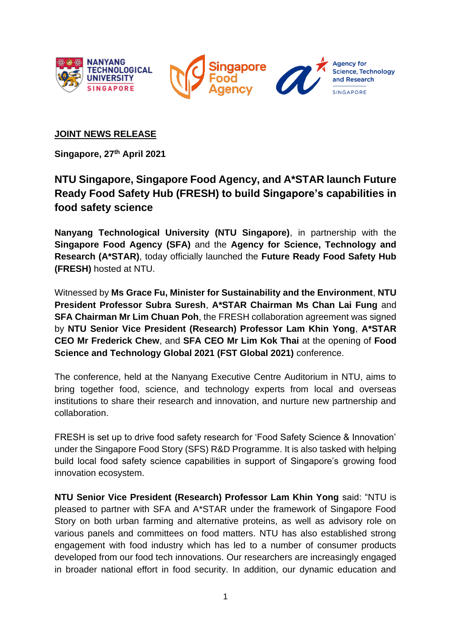



**Agency for Science, Technology** and Research SINGAPOPE

### **JOINT NEWS RELEASE**

**Singapore, 27th April 2021**

# **NTU Singapore, Singapore Food Agency, and A\*STAR launch Future Ready Food Safety Hub (FRESH) to build Singapore's capabilities in food safety science**

**Nanyang Technological University (NTU Singapore)**, in partnership with the **Singapore Food Agency (SFA)** and the **Agency for Science, Technology and Research (A\*STAR)**, today officially launched the **Future Ready Food Safety Hub (FRESH)** hosted at NTU.

Witnessed by **Ms Grace Fu, Minister for Sustainability and the Environment**, **NTU President Professor Subra Suresh**, **A\*STAR Chairman Ms Chan Lai Fung** and **SFA Chairman Mr Lim Chuan Poh**, the FRESH collaboration agreement was signed by **NTU Senior Vice President (Research) Professor Lam Khin Yong**, **A\*STAR CEO Mr Frederick Chew**, and **SFA CEO Mr Lim Kok Thai** at the opening of **Food Science and Technology Global 2021 (FST Global 2021)** conference.

The conference, held at the Nanyang Executive Centre Auditorium in NTU, aims to bring together food, science, and technology experts from local and overseas institutions to share their research and innovation, and nurture new partnership and collaboration.

FRESH is set up to drive food safety research for 'Food Safety Science & Innovation' under the Singapore Food Story (SFS) R&D Programme. It is also tasked with helping build local food safety science capabilities in support of Singapore's growing food innovation ecosystem.

**NTU Senior Vice President (Research) Professor Lam Khin Yong** said: "NTU is pleased to partner with SFA and A\*STAR under the framework of Singapore Food Story on both urban farming and alternative proteins, as well as advisory role on various panels and committees on food matters. NTU has also established strong engagement with food industry which has led to a number of consumer products developed from our food tech innovations. Our researchers are increasingly engaged in broader national effort in food security. In addition, our dynamic education and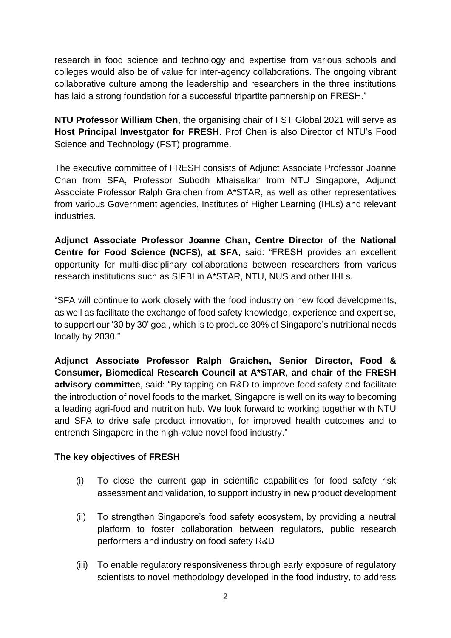research in food science and technology and expertise from various schools and colleges would also be of value for inter-agency collaborations. The ongoing vibrant collaborative culture among the leadership and researchers in the three institutions has laid a strong foundation for a successful tripartite partnership on FRESH."

**NTU Professor William Chen**, the organising chair of FST Global 2021 will serve as **Host Principal Investgator for FRESH**. Prof Chen is also Director of NTU's Food Science and Technology (FST) programme.

The executive committee of FRESH consists of Adjunct Associate Professor Joanne Chan from SFA, Professor Subodh Mhaisalkar from NTU Singapore, Adjunct Associate Professor Ralph Graichen from A\*STAR, as well as other representatives from various Government agencies, Institutes of Higher Learning (IHLs) and relevant industries.

**Adjunct Associate Professor Joanne Chan, Centre Director of the National Centre for Food Science (NCFS), at SFA**, said: "FRESH provides an excellent opportunity for multi-disciplinary collaborations between researchers from various research institutions such as SIFBI in A\*STAR, NTU, NUS and other IHLs.

"SFA will continue to work closely with the food industry on new food developments, as well as facilitate the exchange of food safety knowledge, experience and expertise, to support our '30 by 30' goal, which is to produce 30% of Singapore's nutritional needs locally by 2030."

**Adjunct Associate Professor Ralph Graichen, Senior Director, Food & Consumer, Biomedical Research Council at A\*STAR**, **and chair of the FRESH advisory committee**, said: "By tapping on R&D to improve food safety and facilitate the introduction of novel foods to the market, Singapore is well on its way to becoming a leading agri-food and nutrition hub. We look forward to working together with NTU and SFA to drive safe product innovation, for improved health outcomes and to entrench Singapore in the high-value novel food industry."

#### **The key objectives of FRESH**

- (i) To close the current gap in scientific capabilities for food safety risk assessment and validation, to support industry in new product development
- (ii) To strengthen Singapore's food safety ecosystem, by providing a neutral platform to foster collaboration between regulators, public research performers and industry on food safety R&D
- (iii) To enable regulatory responsiveness through early exposure of regulatory scientists to novel methodology developed in the food industry, to address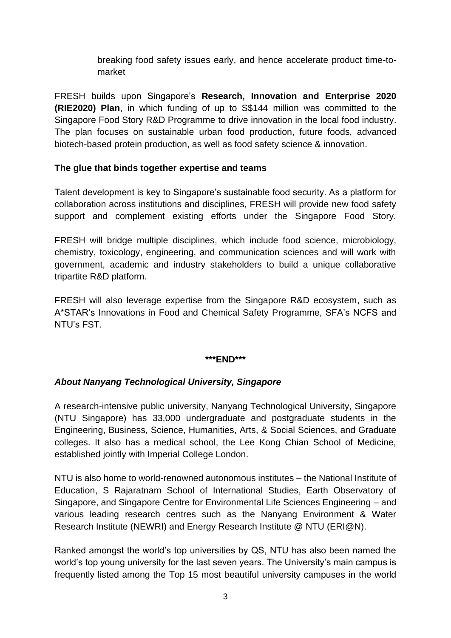breaking food safety issues early, and hence accelerate product time-tomarket

FRESH builds upon Singapore's **Research, Innovation and Enterprise 2020 (RIE2020) Plan**, in which funding of up to S\$144 million was committed to the Singapore Food Story R&D Programme to drive innovation in the local food industry. The plan focuses on sustainable urban food production, future foods, advanced biotech-based protein production, as well as food safety science & innovation.

### **The glue that binds together expertise and teams**

Talent development is key to Singapore's sustainable food security. As a platform for collaboration across institutions and disciplines, FRESH will provide new food safety support and complement existing efforts under the Singapore Food Story.

FRESH will bridge multiple disciplines, which include food science, microbiology, chemistry, toxicology, engineering, and communication sciences and will work with government, academic and industry stakeholders to build a unique collaborative tripartite R&D platform.

FRESH will also leverage expertise from the Singapore R&D ecosystem, such as A\*STAR's Innovations in Food and Chemical Safety Programme, SFA's NCFS and NTU's FST.

#### **\*\*\*END\*\*\***

## *About Nanyang Technological University, Singapore*

A research-intensive public university, Nanyang Technological University, Singapore (NTU Singapore) has 33,000 undergraduate and postgraduate students in the Engineering, Business, Science, Humanities, Arts, & Social Sciences, and Graduate colleges. It also has a medical school, the Lee Kong Chian School of Medicine, established jointly with Imperial College London.

NTU is also home to world-renowned autonomous institutes – the National Institute of Education, S Rajaratnam School of International Studies, Earth Observatory of Singapore, and Singapore Centre for Environmental Life Sciences Engineering – and various leading research centres such as the Nanyang Environment & Water Research Institute (NEWRI) and Energy Research Institute @ NTU (ERI@N).

Ranked amongst the world's top universities by QS, NTU has also been named the world's top young university for the last seven years. The University's main campus is frequently listed among the Top 15 most beautiful university campuses in the world